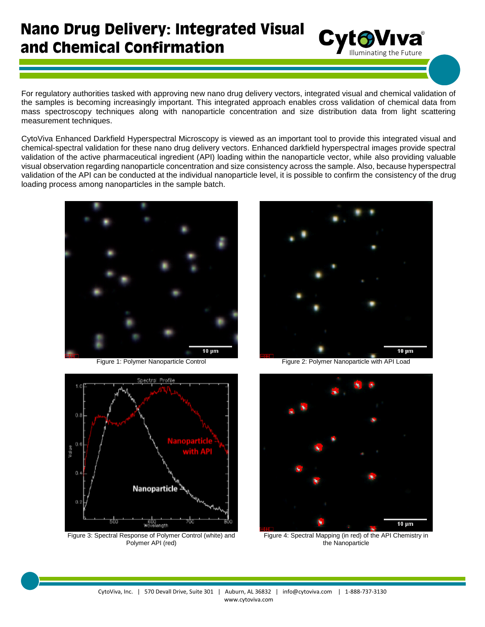## **Nano Drug Delivery: Integrated Visual** and Chemical Confirmation

For regulatory authorities tasked with approving new nano drug delivery vectors, integrated visual and chemical validation of the samples is becoming increasingly important. This integrated approach enables cross validation of chemical data from mass spectroscopy techniques along with nanoparticle concentration and size distribution data from light scattering measurement techniques.

CytoViva Enhanced Darkfield Hyperspectral Microscopy is viewed as an important tool to provide this integrated visual and chemical-spectral validation for these nano drug delivery vectors. Enhanced darkfield hyperspectral images provide spectral validation of the active pharmaceutical ingredient (API) loading within the nanoparticle vector, while also providing valuable visual observation regarding nanoparticle concentration and size consistency across the sample. Also, because hyperspectral validation of the API can be conducted at the individual nanoparticle level, it is possible to confirm the consistency of the drug loading process among nanoparticles in the sample batch.





Figure 3: Spectral Response of Polymer Control (white) and Polymer API (red)



Cyto Viva®



Figure 4: Spectral Mapping (in red) of the API Chemistry in the Nanoparticle